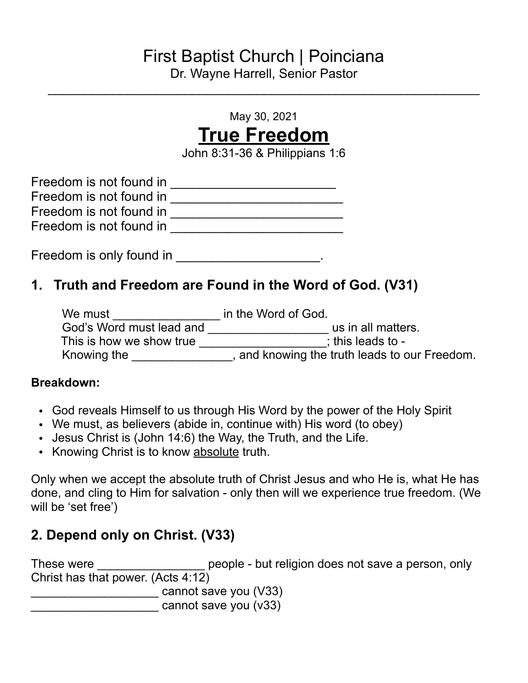# First Baptist Church | Poinciana

Dr. Wayne Harrell, Senior Pastor  $\mathcal{L}_\text{max}$  and  $\mathcal{L}_\text{max}$  and  $\mathcal{L}_\text{max}$  and  $\mathcal{L}_\text{max}$  and  $\mathcal{L}_\text{max}$  and  $\mathcal{L}_\text{max}$ 

May 30, 2021

# **True Freedom**

John 8:31-36 & Philippians 1:6

| Freedom is not found in |  |
|-------------------------|--|
| Freedom is not found in |  |
| Freedom is not found in |  |
| Freedom is not found in |  |

Freedom is only found in \_\_\_\_\_\_\_\_\_\_\_\_\_\_\_\_\_\_\_\_\_.

### **1. Truth and Freedom are Found in the Word of God. (V31)**

| We must                  | in the Word of God.                         |
|--------------------------|---------------------------------------------|
| God's Word must lead and | us in all matters.                          |
| This is how we show true | $:$ this leads to -                         |
| Knowing the              | and knowing the truth leads to our Freedom. |

#### **Breakdown:**

- God reveals Himself to us through His Word by the power of the Holy Spirit
- We must, as believers (abide in, continue with) His word (to obey)
- Jesus Christ is (John 14:6) the Way, the Truth, and the Life.
- Knowing Christ is to know absolute truth.

Only when we accept the absolute truth of Christ Jesus and who He is, what He has done, and cling to Him for salvation - only then will we experience true freedom. (We will be 'set free')

# **2. Depend only on Christ. (V33)**

These were \_\_\_\_\_\_\_\_\_\_\_\_\_\_\_\_\_\_\_\_ people - but religion does not save a person, only Christ has that power. (Acts 4:12) \_\_\_\_\_\_\_\_\_\_\_\_\_\_\_\_\_\_\_ cannot save you (V33) \_\_\_\_\_\_\_\_\_\_\_\_\_\_\_\_\_\_\_ cannot save you (v33)